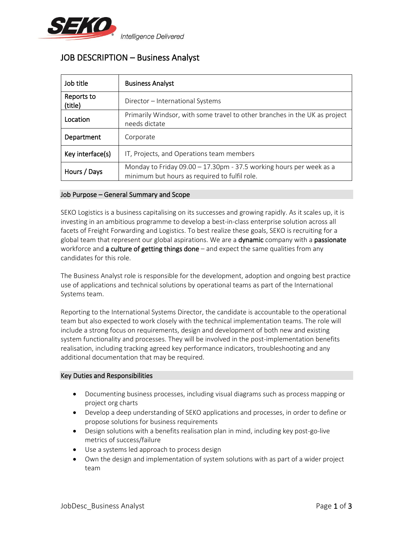

**Intelligence Delivered** 

# JOB DESCRIPTION – Business Analyst

| Job title             | <b>Business Analyst</b>                                                                                                |
|-----------------------|------------------------------------------------------------------------------------------------------------------------|
| Reports to<br>(title) | Director – International Systems                                                                                       |
| Location              | Primarily Windsor, with some travel to other branches in the UK as project<br>needs dictate                            |
| Department            | Corporate                                                                                                              |
| Key interface(s)      | IT, Projects, and Operations team members                                                                              |
| Hours / Days          | Monday to Friday 09.00 $-$ 17.30pm - 37.5 working hours per week as a<br>minimum but hours as required to fulfil role. |

## Job Purpose – General Summary and Scope

SEKO Logistics is a business capitalising on its successes and growing rapidly. As it scales up, it is investing in an ambitious programme to develop a best-in-class enterprise solution across all facets of Freight Forwarding and Logistics. To best realize these goals, SEKO is recruiting for a global team that represent our global aspirations. We are a **dynamic** company with a **passionate** workforce and **a culture of getting things done**  $-$  and expect the same qualities from any candidates for this role.

The Business Analyst role is responsible for the development, adoption and ongoing best practice use of applications and technical solutions by operational teams as part of the International Systems team.

Reporting to the International Systems Director, the candidate is accountable to the operational team but also expected to work closely with the technical implementation teams. The role will include a strong focus on requirements, design and development of both new and existing system functionality and processes. They will be involved in the post-implementation benefits realisation, including tracking agreed key performance indicators, troubleshooting and any additional documentation that may be required.

## Key Duties and Responsibilities

- Documenting business processes, including visual diagrams such as process mapping or project org charts
- Develop a deep understanding of SEKO applications and processes, in order to define or propose solutions for business requirements
- Design solutions with a benefits realisation plan in mind, including key post-go-live metrics of success/failure
- Use a systems led approach to process design
- Own the design and implementation of system solutions with as part of a wider project team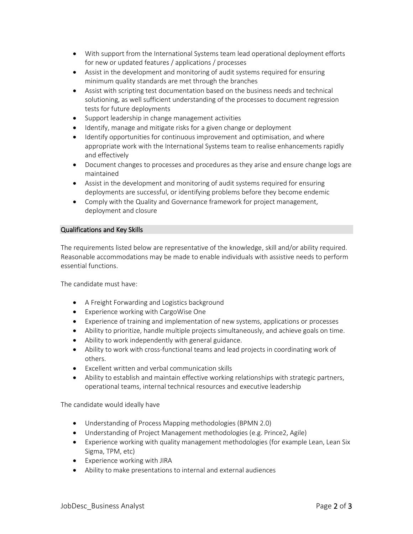- With support from the International Systems team lead operational deployment efforts for new or updated features / applications / processes
- Assist in the development and monitoring of audit systems required for ensuring minimum quality standards are met through the branches
- Assist with scripting test documentation based on the business needs and technical solutioning, as well sufficient understanding of the processes to document regression tests for future deployments
- Support leadership in change management activities
- Identify, manage and mitigate risks for a given change or deployment
- Identify opportunities for continuous improvement and optimisation, and where appropriate work with the International Systems team to realise enhancements rapidly and effectively
- Document changes to processes and procedures as they arise and ensure change logs are maintained
- Assist in the development and monitoring of audit systems required for ensuring deployments are successful, or identifying problems before they become endemic
- Comply with the Quality and Governance framework for project management, deployment and closure

## Qualifications and Key Skills

The requirements listed below are representative of the knowledge, skill and/or ability required. Reasonable accommodations may be made to enable individuals with assistive needs to perform essential functions.

The candidate must have:

- A Freight Forwarding and Logistics background
- Experience working with CargoWise One
- Experience of training and implementation of new systems, applications or processes
- Ability to prioritize, handle multiple projects simultaneously, and achieve goals on time.
- Ability to work independently with general guidance.
- Ability to work with cross-functional teams and lead projects in coordinating work of others.
- Excellent written and verbal communication skills
- Ability to establish and maintain effective working relationships with strategic partners, operational teams, internal technical resources and executive leadership

The candidate would ideally have

- Understanding of Process Mapping methodologies (BPMN 2.0)
- Understanding of Project Management methodologies (e.g. Prince2, Agile)
- Experience working with quality management methodologies (for example Lean, Lean Six Sigma, TPM, etc)
- Experience working with JIRA
- Ability to make presentations to internal and external audiences